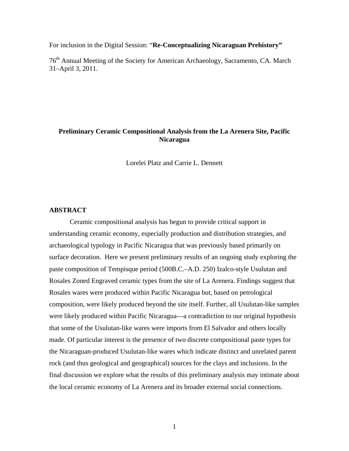For inclusion in the Digital Session: "**Re-Conceptualizing Nicaraguan Prehistory"** 

76th Annual Meeting of the Society for American Archaeology, Sacramento, CA. March 31–April 3, 2011.

# **Preliminary Ceramic Compositional Analysis from the La Arenera Site, Pacific Nicaragua**

Lorelei Platz and Carrie L. Dennett

# **ABSTRACT**

Ceramic compositional analysis has begun to provide critical support in understanding ceramic economy, especially production and distribution strategies, and archaeological typology in Pacific Nicaragua that was previously based primarily on surface decoration. Here we present preliminary results of an ongoing study exploring the paste composition of Tempisque period (500B.C.–A.D. 250) Izalco-style Usulutan and Rosales Zoned Engraved ceramic types from the site of La Arenera. Findings suggest that Rosales wares were produced within Pacific Nicaragua but, based on petrological composition, were likely produced beyond the site itself. Further, all Usulutan-like samples were likely produced within Pacific Nicaragua—a contradiction to our original hypothesis that some of the Usulutan-like wares were imports from El Salvador and others locally made. Of particular interest is the presence of two discrete compositional paste types for the Nicaraguan-produced Usulutan-like wares which indicate distinct and unrelated parent rock (and thus geological and geographical) sources for the clays and inclusions. In the final discussion we explore what the results of this preliminary analysis may intimate about the local ceramic economy of La Arenera and its broader external social connections.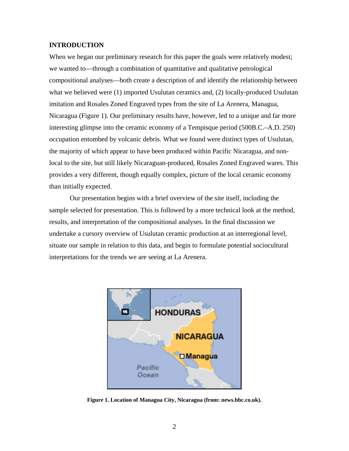# **INTRODUCTION**

When we began our preliminary research for this paper the goals were relatively modest; we wanted to—through a combination of quantitative and qualitative petrological compositional analyses—both create a description of and identify the relationship between what we believed were (1) imported Usulutan ceramics and, (2) locally-produced Usulutan imitation and Rosales Zoned Engraved types from the site of La Arenera, Managua, Nicaragua (Figure 1). Our preliminary results have, however, led to a unique and far more interesting glimpse into the ceramic economy of a Tempisque period (500B.C.–A.D. 250) occupation entombed by volcanic debris. What we found were distinct types of Usulutan, the majority of which appear to have been produced within Pacific Nicaragua, and nonlocal to the site, but still likely Nicaraguan-produced, Rosales Zoned Engraved wares. This provides a very different, though equally complex, picture of the local ceramic economy than initially expected.

Our presentation begins with a brief overview of the site itself, including the sample selected for presentation. This is followed by a more technical look at the method, results, and interpretation of the compositional analyses. In the final discussion we undertake a cursory overview of Usulutan ceramic production at an interregional level, situate our sample in relation to this data, and begin to formulate potential sociocultural interpretations for the trends we are seeing at La Arenera.



**Figure 1. Location of Managua City, Nicaragua (from: news.bbc.co.uk).**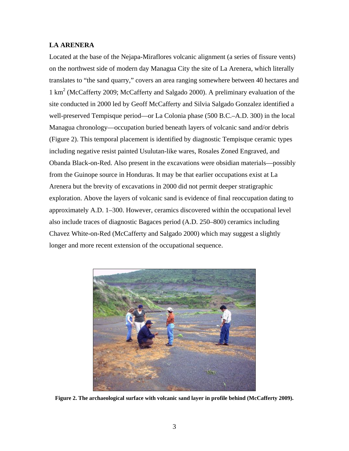# **LA ARENERA**

Located at the base of the Nejapa-Miraflores volcanic alignment (a series of fissure vents) on the northwest side of modern day Managua City the site of La Arenera, which literally translates to "the sand quarry," covers an area ranging somewhere between 40 hectares and 1 km2 (McCafferty 2009; McCafferty and Salgado 2000). A preliminary evaluation of the site conducted in 2000 led by Geoff McCafferty and Silvia Salgado Gonzalez identified a well-preserved Tempisque period—or La Colonia phase (500 B.C.–A.D. 300) in the local Managua chronology—occupation buried beneath layers of volcanic sand and/or debris (Figure 2). This temporal placement is identified by diagnostic Tempisque ceramic types including negative resist painted Usulutan-like wares, Rosales Zoned Engraved, and Obanda Black-on-Red. Also present in the excavations were obsidian materials—possibly from the Guinope source in Honduras. It may be that earlier occupations exist at La Arenera but the brevity of excavations in 2000 did not permit deeper stratigraphic exploration. Above the layers of volcanic sand is evidence of final reoccupation dating to approximately A.D. 1–300. However, ceramics discovered within the occupational level also include traces of diagnostic Bagaces period (A.D. 250–800) ceramics including Chavez White-on-Red (McCafferty and Salgado 2000) which may suggest a slightly longer and more recent extension of the occupational sequence.



**Figure 2. The archaeological surface with volcanic sand layer in profile behind (McCafferty 2009).**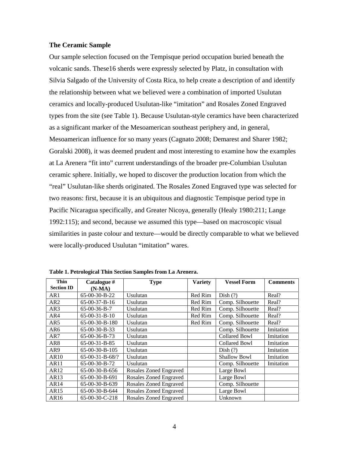# **The Ceramic Sample**

Our sample selection focused on the Tempisque period occupation buried beneath the volcanic sands. These16 sherds were expressly selected by Platz, in consultation with Silvia Salgado of the University of Costa Rica, to help create a description of and identify the relationship between what we believed were a combination of imported Usulutan ceramics and locally-produced Usulutan-like "imitation" and Rosales Zoned Engraved types from the site (see Table 1). Because Usulutan-style ceramics have been characterized as a significant marker of the Mesoamerican southeast periphery and, in general, Mesoamerican influence for so many years (Cagnato 2008; Demarest and Sharer 1982; Goralski 2008), it was deemed prudent and most interesting to examine how the examples at La Arenera "fit into" current understandings of the broader pre-Columbian Usulutan ceramic sphere. Initially, we hoped to discover the production location from which the "real" Usulutan-like sherds originated. The Rosales Zoned Engraved type was selected for two reasons: first, because it is an ubiquitous and diagnostic Tempisque period type in Pacific Nicaragua specifically, and Greater Nicoya, generally (Healy 1980:211; Lange 1992:115); and second, because we assumed this type—based on macroscopic visual similarities in paste colour and texture—would be directly comparable to what we believed were locally-produced Usulutan "imitation" wares.

| <b>Thin</b>       | Catalogue #       | <b>Type</b>            | <b>Variety</b> | <b>Vessel Form</b>   | <b>Comments</b> |
|-------------------|-------------------|------------------------|----------------|----------------------|-----------------|
| <b>Section ID</b> | $(N-MA)$          |                        |                |                      |                 |
| AR1               | 65-00-30-B-22     | Usulutan               | Red Rim        | Dish $(?)$           | Real?           |
| AR <sub>2</sub>   | $65-00-37-B-16$   | Usulutan               | Red Rim        | Comp. Silhouette     | Real?           |
| AR3               | $65-00-36-B-7$    | Usulutan               | Red Rim        | Comp. Silhouette     | Real?           |
| AR4               | $65-00-31-B-10$   | Usulutan               | Red Rim        | Comp. Silhouette     | Real?           |
| AR5               | 65-00-30-B-180    | Usulutan               | Red Rim        | Comp. Silhouette     | Real?           |
| AR6               | 65-00-30-B-33     | Usulutan               |                | Comp. Silhouette     | Imitation       |
| AR7               | $65-00-36-B-73$   | Usulutan               |                | <b>Collared Bowl</b> | Imitation       |
| AR <sub>8</sub>   | $65-00-31-B-85$   | Usulutan               |                | <b>Collared Bowl</b> | Imitation       |
| AR9               | $65-00-30-B-105$  | Usulutan               |                | Dist(?)              | Imitation       |
| AR10              | $65-00-31-B-68/?$ | Usulutan               |                | <b>Shallow Bowl</b>  | Imitation       |
| AR11              | $65-00-30-B-72$   | Usulutan               |                | Comp. Silhouette     | Imitation       |
| AR12              | $65-00-30-B-656$  | Rosales Zoned Engraved |                | Large Bowl           |                 |
| AR13              | 65-00-30-B-691    | Rosales Zoned Engraved |                | Large Bowl           |                 |
| AR14              | 65-00-30-B-639    | Rosales Zoned Engraved |                | Comp. Silhouette     |                 |
| AR15              | $65-00-30-B-644$  | Rosales Zoned Engraved |                | Large Bowl           |                 |
| AR16              | $65-00-30-C-218$  | Rosales Zoned Engraved |                | Unknown              |                 |

**Table 1. Petrological Thin Section Samples from La Arenera.**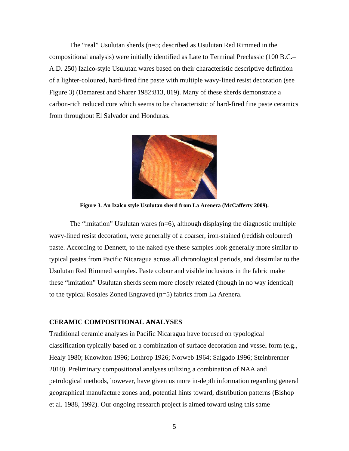The "real" Usulutan sherds (n=5; described as Usulutan Red Rimmed in the compositional analysis) were initially identified as Late to Terminal Preclassic (100 B.C.– A.D. 250) Izalco-style Usulutan wares based on their characteristic descriptive definition of a lighter-coloured, hard-fired fine paste with multiple wavy-lined resist decoration (see Figure 3) (Demarest and Sharer 1982:813, 819). Many of these sherds demonstrate a carbon-rich reduced core which seems to be characteristic of hard-fired fine paste ceramics from throughout El Salvador and Honduras.



**Figure 3. An Izalco style Usulutan sherd from La Arenera (McCafferty 2009).** 

The "imitation" Usulutan wares (n=6), although displaying the diagnostic multiple wavy-lined resist decoration, were generally of a coarser, iron-stained (reddish coloured) paste. According to Dennett, to the naked eye these samples look generally more similar to typical pastes from Pacific Nicaragua across all chronological periods, and dissimilar to the Usulutan Red Rimmed samples. Paste colour and visible inclusions in the fabric make these "imitation" Usulutan sherds seem more closely related (though in no way identical) to the typical Rosales Zoned Engraved (n=5) fabrics from La Arenera.

# **CERAMIC COMPOSITIONAL ANALYSES**

Traditional ceramic analyses in Pacific Nicaragua have focused on typological classification typically based on a combination of surface decoration and vessel form (e.g., Healy 1980; Knowlton 1996; Lothrop 1926; Norweb 1964; Salgado 1996; Steinbrenner 2010). Preliminary compositional analyses utilizing a combination of NAA and petrological methods, however, have given us more in-depth information regarding general geographical manufacture zones and, potential hints toward, distribution patterns (Bishop et al. 1988, 1992). Our ongoing research project is aimed toward using this same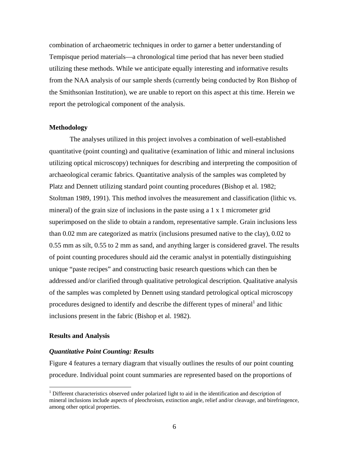combination of archaeometric techniques in order to garner a better understanding of Tempisque period materials—a chronological time period that has never been studied utilizing these methods. While we anticipate equally interesting and informative results from the NAA analysis of our sample sherds (currently being conducted by Ron Bishop of the Smithsonian Institution), we are unable to report on this aspect at this time. Herein we report the petrological component of the analysis.

## **Methodology**

The analyses utilized in this project involves a combination of well-established quantitative (point counting) and qualitative (examination of lithic and mineral inclusions utilizing optical microscopy) techniques for describing and interpreting the composition of archaeological ceramic fabrics. Quantitative analysis of the samples was completed by Platz and Dennett utilizing standard point counting procedures (Bishop et al. 1982; Stoltman 1989, 1991). This method involves the measurement and classification (lithic vs. mineral) of the grain size of inclusions in the paste using a 1 x 1 micrometer grid superimposed on the slide to obtain a random, representative sample. Grain inclusions less than 0.02 mm are categorized as matrix (inclusions presumed native to the clay), 0.02 to 0.55 mm as silt, 0.55 to 2 mm as sand, and anything larger is considered gravel. The results of point counting procedures should aid the ceramic analyst in potentially distinguishing unique "paste recipes" and constructing basic research questions which can then be addressed and/or clarified through qualitative petrological description. Qualitative analysis of the samples was completed by Dennett using standard petrological optical microscopy procedures designed to identify and describe the different types of mineral  $1$  and lithic inclusions present in the fabric (Bishop et al. 1982).

# **Results and Analysis**

 $\overline{a}$ 

# *Quantitative Point Counting: Results*

Figure 4 features a ternary diagram that visually outlines the results of our point counting procedure. Individual point count summaries are represented based on the proportions of

<span id="page-5-0"></span><sup>&</sup>lt;sup>1</sup> Different characteristics observed under polarized light to aid in the identification and description of mineral inclusions include aspects of pleochroism, extinction angle, relief and/or cleavage, and birefringence, among other optical properties.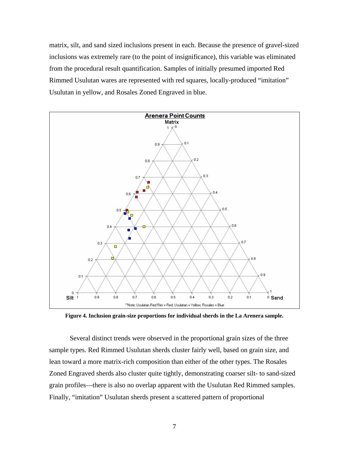matrix, silt, and sand sized inclusions present in each. Because the presence of gravel-sized inclusions was extremely rare (to the point of insignificance), this variable was eliminated from the procedural result quantification. Samples of initially presumed imported Red Rimmed Usulutan wares are represented with red squares, locally-produced "imitation" Usulutan in yellow, and Rosales Zoned Engraved in blue.



**Figure 4. Inclusion grain-size proportions for individual sherds in the La Arenera sample.** 

Several distinct trends were observed in the proportional grain sizes of the three sample types. Red Rimmed Usulutan sherds cluster fairly well, based on grain size, and lean toward a more matrix-rich composition than either of the other types. The Rosales Zoned Engraved sherds also cluster quite tightly, demonstrating coarser silt- to sand-sized grain profiles—there is also no overlap apparent with the Usulutan Red Rimmed samples. Finally, "imitation" Usulutan sherds present a scattered pattern of proportional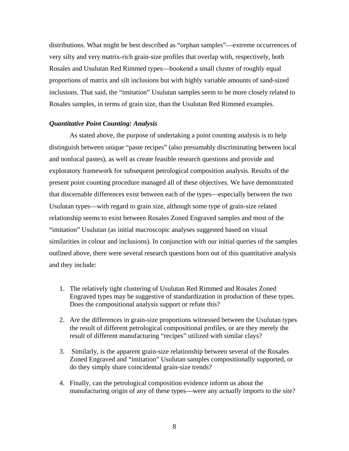distributions. What might be best described as "orphan samples"—extreme occurrences of very silty and very matrix-rich grain-size profiles that overlap with, respectively, both Rosales and Usulutan Red Rimmed types—bookend a small cluster of roughly equal proportions of matrix and silt inclusions but with highly variable amounts of sand-sized inclusions. That said, the "imitation" Usulutan samples seem to be more closely related to Rosales samples, in terms of grain size, than the Usulutan Red Rimmed examples.

# *Quantitative Point Counting: Analysis*

As stated above, the purpose of undertaking a point counting analysis is to help distinguish between unique "paste recipes" (also presumably discriminating between local and nonlocal pastes), as well as create feasible research questions and provide and exploratory framework for subsequent petrological composition analysis. Results of the present point counting procedure managed all of these objectives. We have demonstrated that discernable differences exist between each of the types—especially between the two Usulutan types—with regard to grain size, although some type of grain-size related relationship seems to exist between Rosales Zoned Engraved samples and most of the "imitation" Usulutan (as initial macroscopic analyses suggested based on visual similarities in colour and inclusions). In conjunction with our initial queries of the samples outlined above, there were several research questions born out of this quantitative analysis and they include:

- 1. The relatively tight clustering of Usulutan Red Rimmed and Rosales Zoned Engraved types may be suggestive of standardization in production of these types. Does the compositional analysis support or refute this?
- 2. Are the differences in grain-size proportions witnessed between the Usulutan types the result of different petrological compositional profiles, or are they merely the result of different manufacturing "recipes" utilized with similar clays?
- 3. Similarly, is the apparent grain-size relationship between several of the Rosales Zoned Engraved and "imitation" Usulutan samples compositionally supported, or do they simply share coincidental grain-size trends?
- 4. Finally, can the petrological composition evidence inform us about the manufacturing origin of any of these types—were any *actually* imports to the site?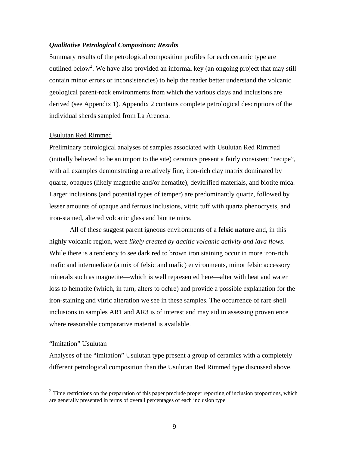# *Qualitative Petrological Composition: Results*

Summary results of the petrological composition profiles for each ceramic type are outlined below<sup>2</sup>. We have also provided an informal key (an ongoing project that may still contain minor errors or inconsistencies) to help the reader better understand the volcanic geological parent-rock environments from which the various clays and inclusions are derived (see Appendix 1). Appendix 2 contains complete petrological descriptions of the individual sherds sampled from La Arenera.

# Usulutan Red Rimmed

Preliminary petrological analyses of samples associated with Usulutan Red Rimmed (initially believed to be an import to the site) ceramics present a fairly consistent "recipe", with all examples demonstrating a relatively fine, iron-rich clay matrix dominated by quartz, opaques (likely magnetite and/or hematite), devitrified materials, and biotite mica. Larger inclusions (and potential types of temper) are predominantly quartz, followed by lesser amounts of opaque and ferrous inclusions, vitric tuff with quartz phenocrysts, and iron-stained, altered volcanic glass and biotite mica.

All of these suggest parent igneous environments of a **felsic nature** and, in this highly volcanic region, were *likely created by dacitic volcanic activity and lava flows*. While there is a tendency to see dark red to brown iron staining occur in more iron-rich mafic and intermediate (a mix of felsic and mafic) environments, minor felsic accessory minerals such as magnetite—which is well represented here—alter with heat and water loss to hematite (which, in turn, alters to ochre) and provide a possible explanation for the iron-staining and vitric alteration we see in these samples. The occurrence of rare shell inclusions in samples AR1 and AR3 is of interest and may aid in assessing provenience where reasonable comparative material is available.

# "Imitation" Usulutan

 $\overline{a}$ 

Analyses of the "imitation" Usulutan type present a group of ceramics with a completely different petrological composition than the Usulutan Red Rimmed type discussed above.

<span id="page-8-0"></span> $2<sup>2</sup>$  Time restrictions on the preparation of this paper preclude proper reporting of inclusion proportions, which are generally presented in terms of overall percentages of each inclusion type.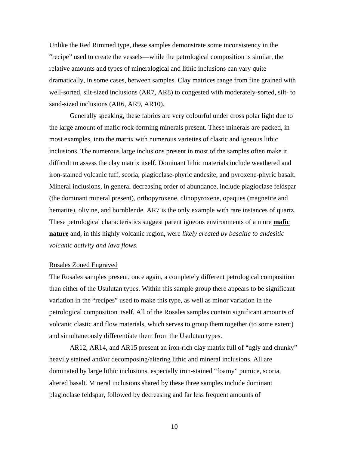Unlike the Red Rimmed type, these samples demonstrate some inconsistency in the "recipe" used to create the vessels—while the petrological composition is similar, the relative amounts and types of mineralogical and lithic inclusions can vary quite dramatically, in some cases, between samples. Clay matrices range from fine grained with well-sorted, silt-sized inclusions (AR7, AR8) to congested with moderately-sorted, silt- to sand-sized inclusions (AR6, AR9, AR10).

Generally speaking, these fabrics are very colourful under cross polar light due to the large amount of mafic rock-forming minerals present. These minerals are packed, in most examples, into the matrix with numerous varieties of clastic and igneous lithic inclusions. The numerous large inclusions present in most of the samples often make it difficult to assess the clay matrix itself. Dominant lithic materials include weathered and iron-stained volcanic tuff, scoria, plagioclase-phyric andesite, and pyroxene-phyric basalt. Mineral inclusions, in general decreasing order of abundance, include plagioclase feldspar (the dominant mineral present), orthopyroxene, clinopyroxene, opaques (magnetite and hematite), olivine, and hornblende. AR7 is the only example with rare instances of quartz. These petrological characteristics suggest parent igneous environments of a more **mafic nature** and, in this highly volcanic region, were *likely created by basaltic to andesitic volcanic activity and lava flows*.

# Rosales Zoned Engraved

The Rosales samples present, once again, a completely different petrological composition than either of the Usulutan types. Within this sample group there appears to be significant variation in the "recipes" used to make this type, as well as minor variation in the petrological composition itself. All of the Rosales samples contain significant amounts of volcanic clastic and flow materials, which serves to group them together (to some extent) and simultaneously differentiate them from the Usulutan types.

AR12, AR14, and AR15 present an iron-rich clay matrix full of "ugly and chunky" heavily stained and/or decomposing/altering lithic and mineral inclusions. All are dominated by large lithic inclusions, especially iron-stained "foamy" pumice, scoria, altered basalt. Mineral inclusions shared by these three samples include dominant plagioclase feldspar, followed by decreasing and far less frequent amounts of

10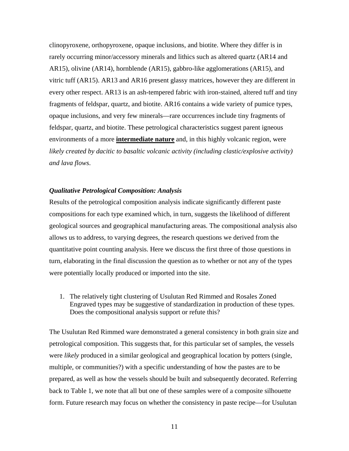clinopyroxene, orthopyroxene, opaque inclusions, and biotite. Where they differ is in rarely occurring minor/accessory minerals and lithics such as altered quartz (AR14 and AR15), olivine (AR14), hornblende (AR15), gabbro-like agglomerations (AR15), and vitric tuff (AR15). AR13 and AR16 present glassy matrices, however they are different in every other respect. AR13 is an ash-tempered fabric with iron-stained, altered tuff and tiny fragments of feldspar, quartz, and biotite. AR16 contains a wide variety of pumice types, opaque inclusions, and very few minerals—rare occurrences include tiny fragments of feldspar, quartz, and biotite. These petrological characteristics suggest parent igneous environments of a more **intermediate nature** and, in this highly volcanic region, were *likely created by dacitic to basaltic volcanic activity (including clastic/explosive activity) and lava flows*.

# *Qualitative Petrological Composition: Analysis*

Results of the petrological composition analysis indicate significantly different paste compositions for each type examined which, in turn, suggests the likelihood of different geological sources and geographical manufacturing areas. The compositional analysis also allows us to address, to varying degrees, the research questions we derived from the quantitative point counting analysis. Here we discuss the first three of those questions in turn, elaborating in the final discussion the question as to whether or not any of the types were potentially locally produced or imported into the site.

1. The relatively tight clustering of Usulutan Red Rimmed and Rosales Zoned Engraved types may be suggestive of standardization in production of these types. Does the compositional analysis support or refute this?

The Usulutan Red Rimmed ware demonstrated a general consistency in both grain size and petrological composition. This suggests that, for this particular set of samples, the vessels were *likely* produced in a similar geological and geographical location by potters (single, multiple, or communities?) with a specific understanding of how the pastes are to be prepared, as well as how the vessels should be built and subsequently decorated. Referring back to Table 1, we note that all but one of these samples were of a composite silhouette form. Future research may focus on whether the consistency in paste recipe—for Usulutan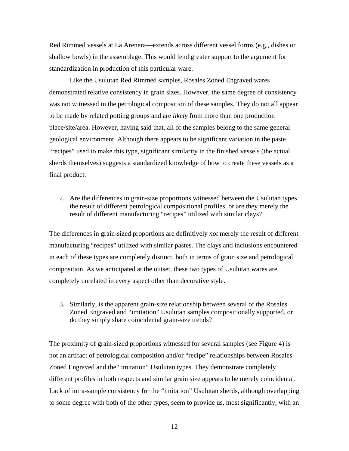Red Rimmed vessels at La Arenera—extends across different vessel forms (e.g., dishes or shallow bowls) in the assemblage. This would lend greater support to the argument for standardization in production of this particular ware.

Like the Usulutan Red Rimmed samples, Rosales Zoned Engraved wares demonstrated relative consistency in grain sizes. However, the same degree of consistency was not witnessed in the petrological composition of these samples. They do not all appear to be made by related potting groups and are *likely* from more than one production place/site/area. However, having said that, all of the samples belong to the same general geological environment. Although there appears to be significant variation in the paste "recipes" used to make this type, significant similarity in the finished vessels (the actual sherds themselves) suggests a standardized knowledge of how to create these vessels as a final product.

2. Are the differences in grain-size proportions witnessed between the Usulutan types the result of different petrological compositional profiles, or are they merely the result of different manufacturing "recipes" utilized with similar clays?

The differences in grain-sized proportions are definitively *not* merely the result of different manufacturing "recipes" utilized with similar pastes. The clays and inclusions encountered in each of these types are completely distinct, both in terms of grain size and petrological composition. As we anticipated at the outset, these two types of Usulutan wares are completely unrelated in every aspect other than decorative style.

3. Similarly, is the apparent grain-size relationship between several of the Rosales Zoned Engraved and "imitation" Usulutan samples compositionally supported, or do they simply share coincidental grain-size trends?

The proximity of grain-sized proportions witnessed for several samples (see Figure 4) is not an artifact of petrological composition and/or "recipe" relationships between Rosales Zoned Engraved and the "imitation" Usulutan types. They demonstrate completely different profiles in both respects and similar grain size appears to be merely coincidental. Lack of intra-sample consistency for the "imitation" Usulutan sherds, although overlapping to some degree with both of the other types, seem to provide us, most significantly, with an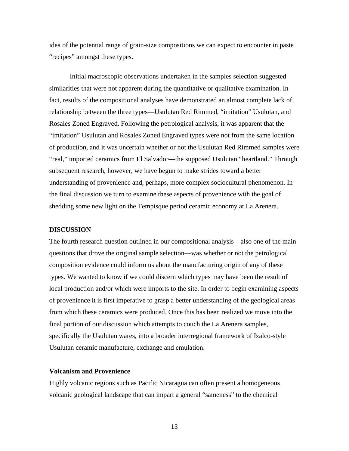idea of the potential range of grain-size compositions we can expect to encounter in paste "recipes" amongst these types.

Initial macroscopic observations undertaken in the samples selection suggested similarities that were not apparent during the quantitative or qualitative examination. In fact, results of the compositional analyses have demonstrated an almost complete lack of relationship between the three types—Usulutan Red Rimmed, "imitation" Usulutan, and Rosales Zoned Engraved. Following the petrological analysis, it was apparent that the "imitation" Usulutan and Rosales Zoned Engraved types were not from the same location of production, and it was uncertain whether or not the Usulutan Red Rimmed samples were "real," imported ceramics from El Salvador—the supposed Usulutan "heartland." Through subsequent research, however, we have begun to make strides toward a better understanding of provenience and, perhaps, more complex sociocultural phenomenon. In the final discussion we turn to examine these aspects of provenience with the goal of shedding some new light on the Tempisque period ceramic economy at La Arenera.

# **DISCUSSION**

The fourth research question outlined in our compositional analysis—also one of the main questions that drove the original sample selection—was whether or not the petrological composition evidence could inform us about the manufacturing origin of any of these types. We wanted to know if we could discern which types may have been the result of local production and/or which were imports to the site. In order to begin examining aspects of provenience it is first imperative to grasp a better understanding of the geological areas from which these ceramics were produced. Once this has been realized we move into the final portion of our discussion which attempts to couch the La Arenera samples, specifically the Usulutan wares, into a broader interregional framework of Izalco-style Usulutan ceramic manufacture, exchange and emulation.

# **Volcanism and Provenience**

Highly volcanic regions such as Pacific Nicaragua can often present a homogeneous volcanic geological landscape that can impart a general "sameness" to the chemical

13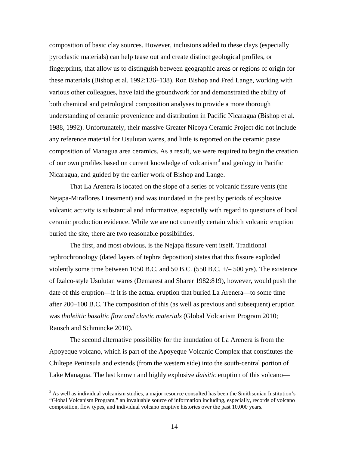composition of basic clay sources. However, inclusions added to these clays (especially pyroclastic materials) can help tease out and create distinct geological profiles, or fingerprints, that allow us to distinguish between geographic areas or regions of origin for these materials (Bishop et al. 1992:136–138). Ron Bishop and Fred Lange, working with various other colleagues, have laid the groundwork for and demonstrated the ability of both chemical and petrological composition analyses to provide a more thorough understanding of ceramic provenience and distribution in Pacific Nicaragua (Bishop et al. 1988, 1992). Unfortunately, their massive Greater Nicoya Ceramic Project did not include any reference material for Usulutan wares, and little is reported on the ceramic paste composition of Managua area ceramics. As a result, we were required to begin the creation of our own profiles based on current knowledge of volcanism<sup>[3](#page-13-0)</sup> and geology in Pacific Nicaragua, and guided by the earlier work of Bishop and Lange.

That La Arenera is located on the slope of a series of volcanic fissure vents (the Nejapa-Miraflores Lineament) and was inundated in the past by periods of explosive volcanic activity is substantial and informative, especially with regard to questions of local ceramic production evidence. While we are not currently certain which volcanic eruption buried the site, there are two reasonable possibilities.

The first, and most obvious, is the Nejapa fissure vent itself. Traditional tephrochronology (dated layers of tephra deposition) states that this fissure exploded violently some time between 1050 B.C. and 50 B.C. (550 B.C. +/– 500 yrs). The existence of Izalco-style Usulutan wares (Demarest and Sharer 1982:819), however, would push the date of this eruption—if it is the actual eruption that buried La Arenera—to some time after 200–100 B.C. The composition of this (as well as previous and subsequent) eruption was *tholeiitic basaltic flow and clastic materials* (Global Volcanism Program 2010; Rausch and Schmincke 2010).

The second alternative possibility for the inundation of La Arenera is from the Apoyeque volcano, which is part of the Apoyeque Volcanic Complex that constitutes the Chiltepe Peninsula and extends (from the western side) into the south-central portion of Lake Managua. The last known and highly explosive *daisitic* eruption of this volcano—

 $\overline{a}$ 

<span id="page-13-0"></span> $3$  As well as individual volcanism studies, a major resource consulted has been the Smithsonian Institution's "Global Volcanism Program," an invaluable source of information including, especially, records of volcano composition, flow types, and individual volcano eruptive histories over the past 10,000 years.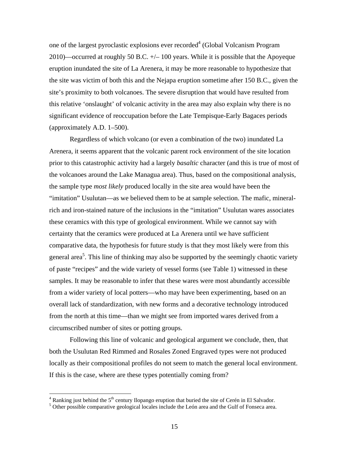one of the largest pyroclastic explosions ever recorded<sup>4</sup> (Global Volcanism Program 2010)—occurred at roughly 50 B.C.  $+\prime$  100 years. While it is possible that the Apoyeque eruption inundated the site of La Arenera, it may be more reasonable to hypothesize that the site was victim of both this and the Nejapa eruption sometime after 150 B.C., given the site's proximity to both volcanoes. The severe disruption that would have resulted from this relative 'onslaught' of volcanic activity in the area may also explain why there is no significant evidence of reoccupation before the Late Tempisque-Early Bagaces periods (approximately A.D. 1–500).

Regardless of which volcano (or even a combination of the two) inundated La Arenera, it seems apparent that the volcanic parent rock environment of the site location prior to this catastrophic activity had a largely *basaltic* character (and this is true of most of the volcanoes around the Lake Managua area). Thus, based on the compositional analysis, the sample type *most likely* produced locally in the site area would have been the "imitation" Usulutan—as we believed them to be at sample selection. The mafic, mineralrich and iron-stained nature of the inclusions in the "imitation" Usulutan wares associates these ceramics with this type of geological environment. While we cannot say with certainty that the ceramics were produced at La Arenera until we have sufficient comparative data, the hypothesis for future study is that they most likely were from this general area<sup>[5](#page-14-1)</sup>. This line of thinking may also be supported by the seemingly chaotic variety of paste "recipes" and the wide variety of vessel forms (see Table 1) witnessed in these samples. It may be reasonable to infer that these wares were most abundantly accessible from a wider variety of local potters—who may have been experimenting, based on an overall lack of standardization, with new forms and a decorative technology introduced from the north at this time—than we might see from imported wares derived from a circumscribed number of sites or potting groups.

Following this line of volcanic and geological argument we conclude, then, that both the Usulutan Red Rimmed and Rosales Zoned Engraved types were not produced locally as their compositional profiles do not seem to match the general local environment. If this is the case, where are these types potentially coming from?

 $\overline{a}$ 

<span id="page-14-0"></span><sup>&</sup>lt;sup>4</sup> Ranking just behind the 5<sup>th</sup> century Ilopango eruption that buried the site of Cerén in El Salvador.<br><sup>5</sup> Other pessible comparative scalogical locales include the León area and the Gulf of Fonsece area

<span id="page-14-1"></span><sup>&</sup>lt;sup>5</sup> Other possible comparative geological locales include the León area and the Gulf of Fonseca area.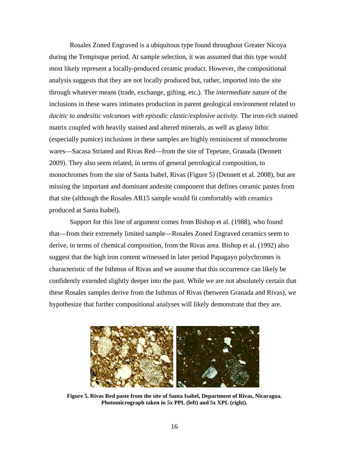Rosales Zoned Engraved is a ubiquitous type found throughout Greater Nicoya during the Tempisque period. At sample selection, it was assumed that this type would most likely represent a locally-produced ceramic product. However, the compositional analysis suggests that they are not locally produced but, rather, imported into the site through whatever means (trade, exchange, gifting, etc.). The *intermediate* nature of the inclusions in these wares intimates production in parent geological environment related to *dacitic to andesitic volcanoes with episodic clastic/explosive activity*. The iron-rich stained matrix coupled with heavily stained and altered minerals, as well as glassy lithic (especially pumice) inclusions in these samples are highly reminiscent of monochrome wares—Sacasa Striated and Rivas Red—from the site of Tepetate, Granada (Dennett 2009). They also seem related, in terms of general petrological composition, to monochromes from the site of Santa Isabel, Rivas (Figure 5) (Dennett et al. 2008), but are missing the important and dominant andesite component that defines ceramic pastes from that site (although the Rosales AR15 sample would fit comfortably with ceramics produced at Santa Isabel).

Support for this line of argument comes from Bishop et al. (1988), who found that—from their extremely limited sample—Rosales Zoned Engraved ceramics seem to derive, in terms of chemical composition, from the Rivas area. Bishop et al. (1992) also suggest that the high iron content witnessed in later period Papagayo polychromes is characteristic of the Isthmus of Rivas and we assume that this occurrence can likely be confidently extended slightly deeper into the past. While we are not absolutely certain that these Rosales samples derive from the Isthmus of Rivas (between Granada and Rivas), we hypothesize that further compositional analyses will likely demonstrate that they are.



**Figure 5. Rivas Red paste from the site of Santa Isabel, Department of Rivas, Nicaragua. Photomicrograph taken in 5x PPL (left) and 5x XPL (right).**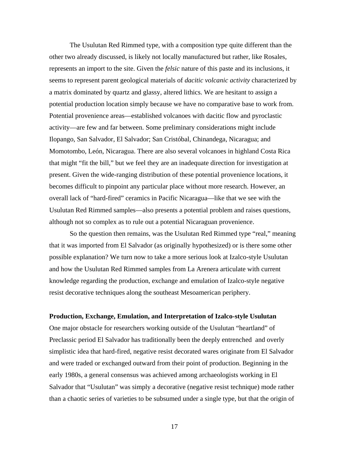The Usulutan Red Rimmed type, with a composition type quite different than the other two already discussed, is likely not locally manufactured but rather, like Rosales, represents an import to the site. Given the *felsic* nature of this paste and its inclusions, it seems to represent parent geological materials of *dacitic volcanic activity* characterized by a matrix dominated by quartz and glassy, altered lithics. We are hesitant to assign a potential production location simply because we have no comparative base to work from. Potential provenience areas—established volcanoes with dacitic flow and pyroclastic activity—are few and far between. Some preliminary considerations might include Ilopango, San Salvador, El Salvador; San Cristóbal, Chinandega, Nicaragua; and Momotombo, León, Nicaragua. There are also several volcanoes in highland Costa Rica that might "fit the bill," but we feel they are an inadequate direction for investigation at present. Given the wide-ranging distribution of these potential provenience locations, it becomes difficult to pinpoint any particular place without more research. However, an overall lack of "hard-fired" ceramics in Pacific Nicaragua—like that we see with the Usulutan Red Rimmed samples—also presents a potential problem and raises questions, although not so complex as to rule out a potential Nicaraguan provenience.

So the question then remains, was the Usulutan Red Rimmed type "real," meaning that it was imported from El Salvador (as originally hypothesized) or is there some other possible explanation? We turn now to take a more serious look at Izalco-style Usulutan and how the Usulutan Red Rimmed samples from La Arenera articulate with current knowledge regarding the production, exchange and emulation of Izalco-style negative resist decorative techniques along the southeast Mesoamerican periphery.

# **Production, Exchange, Emulation, and Interpretation of Izalco-style Usulutan**

One major obstacle for researchers working outside of the Usulutan "heartland" of Preclassic period El Salvador has traditionally been the deeply entrenched and overly simplistic idea that hard-fired, negative resist decorated wares originate from El Salvador and were traded or exchanged outward from their point of production. Beginning in the early 1980s, a general consensus was achieved among archaeologists working in El Salvador that "Usulutan" was simply a decorative (negative resist technique) mode rather than a chaotic series of varieties to be subsumed under a single type, but that the origin of

17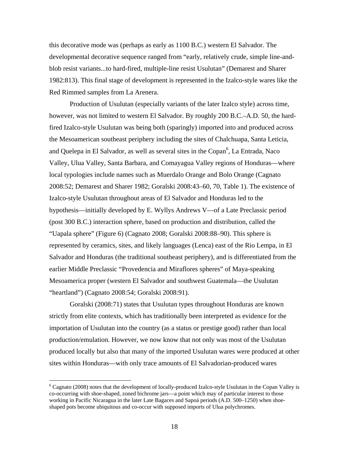this decorative mode was (perhaps as early as 1100 B.C.) western El Salvador. The developmental decorative sequence ranged from "early, relatively crude, simple line-andblob resist variants...to hard-fired, multiple-line resist Usulutan" (Demarest and Sharer 1982:813). This final stage of development is represented in the Izalco-style wares like the Red Rimmed samples from La Arenera.

Production of Usulutan (especially variants of the later Izalco style) across time, however, was not limited to western El Salvador. By roughly 200 B.C.–A.D. 50, the hardfired Izalco-style Usulutan was being both (sparingly) imported into and produced across the Mesoamerican southeast periphery including the sites of Chalchuapa, Santa Leticia, and Quelepa in El Salvador, as well as several sites in the Copan<sup>[6](#page-17-0)</sup>, La Entrada, Naco Valley, Ulua Valley, Santa Barbara, and Comayagua Valley regions of Honduras—where local typologies include names such as Muerdalo Orange and Bolo Orange (Cagnato 2008:52; Demarest and Sharer 1982; Goralski 2008:43–60, 70, Table 1). The existence of Izalco-style Usulutan throughout areas of El Salvador and Honduras led to the hypothesis—initially developed by E. Wyllys Andrews V—of a Late Preclassic period (post 300 B.C.) interaction sphere, based on production and distribution, called the "Uapala sphere" (Figure 6) (Cagnato 2008; Goralski 2008:88–90). This sphere is represented by ceramics, sites, and likely languages (Lenca) east of the Rio Lempa, in El Salvador and Honduras (the traditional southeast periphery), and is differentiated from the earlier Middle Preclassic "Provedencia and Miraflores spheres" of Maya-speaking Mesoamerica proper (western El Salvador and southwest Guatemala—the Usulutan "heartland") (Cagnato 2008:54; Goralski 2008:91).

Goralski (2008:71) states that Usulutan types throughout Honduras are known strictly from elite contexts, which has traditionally been interpreted as evidence for the importation of Usulutan into the country (as a status or prestige good) rather than local production/emulation. However, we now know that not only was most of the Usulutan produced locally but also that many of the imported Usulutan wares were produced at other sites within Honduras—with only trace amounts of El Salvadorian-produced wares

 $\overline{a}$ 

<span id="page-17-0"></span><sup>&</sup>lt;sup>6</sup> Cagnato (2008) notes that the development of locally-produced Izalco-style Usulutan in the Copan Valley is co-occurring with shoe-shaped, zoned bichrome jars—a point which may of particular interest to those working in Pacific Nicaragua in the later Late Bagaces and Sapoá periods (A.D. 500–1250) when shoeshaped pots become ubiquitous and co-occur with supposed imports of Ulua polychromes.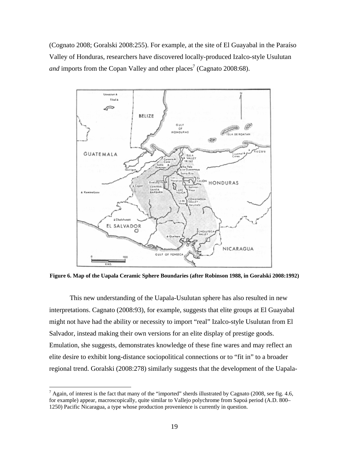(Cognato 2008; Goralski 2008:255). For example, at the site of El Guayabal in the Paraíso Valley of Honduras, researchers have discovered locally-produced Izalco-style Usulutan *and* imports from the Copan Valley and other places<sup>7</sup> (Cagnato 2008:68).



**Figure 6. Map of the Uapala Ceramic Sphere Boundaries (after Robinson 1988, in Goralski 2008:1992)** 

This new understanding of the Uapala-Usulutan sphere has also resulted in new interpretations. Cagnato (2008:93), for example, suggests that elite groups at El Guayabal might not have had the ability or necessity to import "real" Izalco-style Usulutan from El Salvador, instead making their own versions for an elite display of prestige goods. Emulation, she suggests, demonstrates knowledge of these fine wares and may reflect an elite desire to exhibit long-distance sociopolitical connections or to "fit in" to a broader regional trend. Goralski (2008:278) similarly suggests that the development of the Uapala-

 $\overline{a}$ 

<span id="page-18-0"></span> $^7$  Again, of interest is the fact that many of the "imported" sherds illustrated by Cagnato (2008, see fig. 4.6, for example) appear, macroscopically, quite similar to Vallejo polychrome from Sapoá period (A.D. 800– 1250) Pacific Nicaragua, a type whose production provenience is currently in question.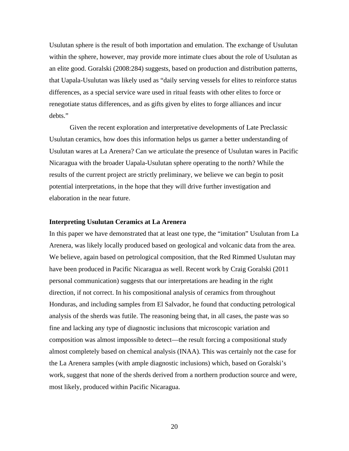Usulutan sphere is the result of both importation and emulation. The exchange of Usulutan within the sphere, however, may provide more intimate clues about the role of Usulutan as an elite good. Goralski (2008:284) suggests, based on production and distribution patterns, that Uapala-Usulutan was likely used as "daily serving vessels for elites to reinforce status differences, as a special service ware used in ritual feasts with other elites to force or renegotiate status differences, and as gifts given by elites to forge alliances and incur debts."

Given the recent exploration and interpretative developments of Late Preclassic Usulutan ceramics, how does this information helps us garner a better understanding of Usulutan wares at La Arenera? Can we articulate the presence of Usulutan wares in Pacific Nicaragua with the broader Uapala-Usulutan sphere operating to the north? While the results of the current project are strictly preliminary, we believe we can begin to posit potential interpretations, in the hope that they will drive further investigation and elaboration in the near future.

# **Interpreting Usulutan Ceramics at La Arenera**

In this paper we have demonstrated that at least one type, the "imitation" Usulutan from La Arenera, was likely locally produced based on geological and volcanic data from the area. We believe, again based on petrological composition, that the Red Rimmed Usulutan may have been produced in Pacific Nicaragua as well. Recent work by Craig Goralski (2011 personal communication) suggests that our interpretations are heading in the right direction, if not correct. In his compositional analysis of ceramics from throughout Honduras, and including samples from El Salvador, he found that conducting petrological analysis of the sherds was futile. The reasoning being that, in all cases, the paste was so fine and lacking any type of diagnostic inclusions that microscopic variation and composition was almost impossible to detect—the result forcing a compositional study almost completely based on chemical analysis (INAA). This was certainly not the case for the La Arenera samples (with ample diagnostic inclusions) which, based on Goralski's work, suggest that none of the sherds derived from a northern production source and were, most likely, produced within Pacific Nicaragua.

20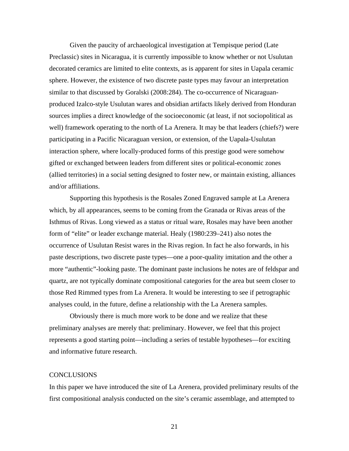Given the paucity of archaeological investigation at Tempisque period (Late Preclassic) sites in Nicaragua, it is currently impossible to know whether or not Usulutan decorated ceramics are limited to elite contexts, as is apparent for sites in Uapala ceramic sphere. However, the existence of two discrete paste types may favour an interpretation similar to that discussed by Goralski (2008:284). The co-occurrence of Nicaraguanproduced Izalco-style Usulutan wares and obsidian artifacts likely derived from Honduran sources implies a direct knowledge of the socioeconomic (at least, if not sociopolitical as well) framework operating to the north of La Arenera. It may be that leaders (chiefs?) were participating in a Pacific Nicaraguan version, or extension, of the Uapala-Usulutan interaction sphere, where locally-produced forms of this prestige good were somehow gifted or exchanged between leaders from different sites or political-economic zones (allied territories) in a social setting designed to foster new, or maintain existing, alliances and/or affiliations.

Supporting this hypothesis is the Rosales Zoned Engraved sample at La Arenera which, by all appearances, seems to be coming from the Granada or Rivas areas of the Isthmus of Rivas. Long viewed as a status or ritual ware, Rosales may have been another form of "elite" or leader exchange material. Healy (1980:239–241) also notes the occurrence of Usulutan Resist wares in the Rivas region. In fact he also forwards, in his paste descriptions, two discrete paste types—one a poor-quality imitation and the other a more "authentic"-looking paste. The dominant paste inclusions he notes are of feldspar and quartz, are not typically dominate compositional categories for the area but seem closer to those Red Rimmed types from La Arenera. It would be interesting to see if petrographic analyses could, in the future, define a relationship with the La Arenera samples.

Obviously there is much more work to be done and we realize that these preliminary analyses are merely that: preliminary. However, we feel that this project represents a good starting point—including a series of testable hypotheses—for exciting and informative future research.

# CONCLUSIONS

In this paper we have introduced the site of La Arenera, provided preliminary results of the first compositional analysis conducted on the site's ceramic assemblage, and attempted to

21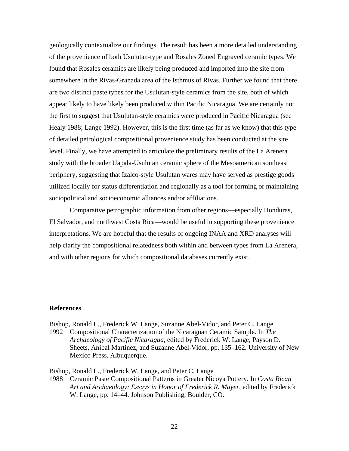geologically contextualize our findings. The result has been a more detailed understanding of the provenience of both Usulutan-type and Rosales Zoned Engraved ceramic types. We found that Rosales ceramics are likely being produced and imported into the site from somewhere in the Rivas-Granada area of the Isthmus of Rivas. Further we found that there are two distinct paste types for the Usulutan-style ceramics from the site, both of which appear likely to have likely been produced within Pacific Nicaragua. We are certainly not the first to suggest that Usulutan-style ceramics were produced in Pacific Nicaragua (see Healy 1988; Lange 1992). However, this is the first time (as far as we know) that this type of detailed petrological compositional provenience study has been conducted at the site level. Finally, we have attempted to articulate the preliminary results of the La Arenera study with the broader Uapala-Usulutan ceramic sphere of the Mesoamerican southeast periphery, suggesting that Izalco-style Usulutan wares may have served as prestige goods utilized locally for status differentiation and regionally as a tool for forming or maintaining sociopolitical and socioeconomic alliances and/or affiliations.

Comparative petrographic information from other regions—especially Honduras, El Salvador, and northwest Costa Rica—would be useful in supporting these provenience interpretations. We are hopeful that the results of ongoing INAA and XRD analyses will help clarify the compositional relatedness both within and between types from La Arenera, and with other regions for which compositional databases currently exist.

# **References**

Bishop, Ronald L., Frederick W. Lange, Suzanne Abel-Vidor, and Peter C. Lange 1992 Compositional Characterization of the Nicaraguan Ceramic Sample. In *The Archaeology of Pacific Nicaragua*, edited by Frederick W. Lange, Payson D. Sheets, Anibal Martinez, and Suzanne Abel-Vidor, pp. 135–162. University of New Mexico Press, Albuquerque.

Bishop, Ronald L., Frederick W. Lange, and Peter C. Lange

1988 Ceramic Paste Compositional Patterns in Greater Nicoya Pottery. In *Costa Rican Art and Archaeology: Essays in Honor of Frederick R. Mayer*, edited by Frederick W. Lange, pp. 14–44. Johnson Publishing, Boulder, CO.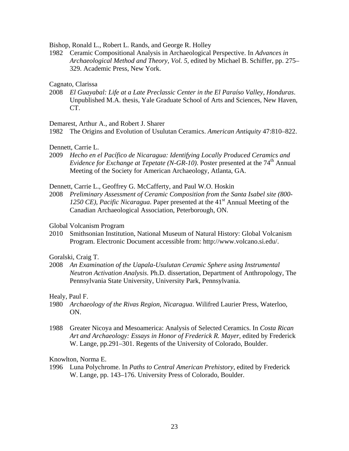Bishop, Ronald L., Robert L. Rands, and George R. Holley

1982 Ceramic Compositional Analysis in Archaeological Perspective. In *Advances in Archaeological Method and Theory, Vol. 5,* edited by Michael B. Schiffer, pp. 275– 329. Academic Press, New York.

# Cagnato, Clarissa

2008 *El Guayabal: Life at a Late Preclassic Center in the El Paraíso Valley, Honduras*. Unpublished M.A. thesis, Yale Graduate School of Arts and Sciences, New Haven, CT.

Demarest, Arthur A., and Robert J. Sharer

1982 The Origins and Evolution of Usulutan Ceramics. *American Antiquity* 47:810–822.

Dennett, Carrie L.

2009 *Hecho en el Pacífico de Nicaragua: Identifying Locally Produced Ceramics and Evidence for Exchange at Tepetate (N-GR-10)*. Poster presented at the 74<sup>th</sup> Annual Meeting of the Society for American Archaeology, Atlanta, GA.

Dennett, Carrie L., Geoffrey G. McCafferty, and Paul W.O. Hoskin

2008 *Preliminary Assessment of Ceramic Composition from the Santa Isabel site (800- 1250 CE), Pacific Nicaragua*. Paper presented at the 41<sup>st</sup> Annual Meeting of the Canadian Archaeological Association, Peterborough, ON.

Global Volcanism Program

2010 Smithsonian Institution, National Museum of Natural History: Global Volcanism Program. Electronic Document accessible from: http://www.volcano.si.edu/.

Goralski, Craig T.

2008 *An Examination of the Uapala-Usulutan Ceramic Sphere using Instrumental Neutron Activation Analysis*. Ph.D. dissertation, Department of Anthropology, The Pennsylvania State University, University Park, Pennsylvania.

Healy, Paul F.

- 1980 *Archaeology of the Rivas Region, Nicaragua*. Wilifred Laurier Press, Waterloo, ON.
- 1988 Greater Nicoya and Mesoamerica: Analysis of Selected Ceramics. In *Costa Rican Art and Archaeology: Essays in Honor of Frederick R. Mayer*, edited by Frederick W. Lange, pp.291–301. Regents of the University of Colorado, Boulder.

Knowlton, Norma E.

1996 Luna Polychrome. In *Paths to Central American Prehistory*, edited by Frederick W. Lange, pp. 143–176. University Press of Colorado, Boulder.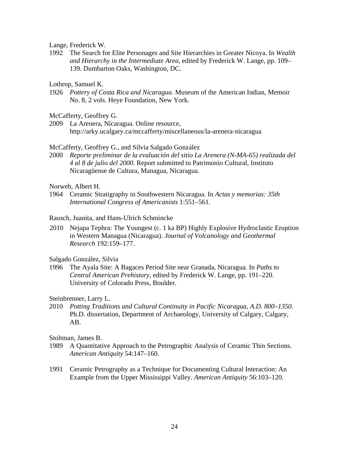Lange, Frederick W.

1992 The Search for Elite Personages and Site Hierarchies in Greater Nicoya. In *Wealth and Hierarchy in the Intermediate Area*, edited by Frederick W. Lange, pp. 109– 139. Dumbarton Oaks, Washington, DC.

Lothrop, Samuel K.

1926 *Pottery of Costa Rica and Nicaragua*. Museum of the American Indian, Memoir No. 8, 2 vols. Heye Foundation, New York.

McCafferty, Geoffrey G.

2009 La Arenera, Nicaragua. Online resource, http://arky.ucalgary.ca/mccafferty/miscellaneous/la-arenera-nicaragua

McCafferty, Geoffrey G., and Silvia Salgado González

2000 *Reporte preliminar de la evaluación del sitio La Arenera (N-MA-65) realizada del 4 al 8 de julio del 2000*. Report submitted to Patrimonio Cultural, Instituto Nicaragüense de Cultura, Managua, Nicaragua.

Norweb, Albert H.

1964 Ceramic Stratigraphy in Southwestern Nicaragua. In *Actas y memorias: 35th International Congress of Americanists* 1:551–561.

Rausch, Juanita, and Hans-Ulrich Schmincke

2010 Nejapa Tephra: The Youngest (c. 1 ka BP) Highly Explosive Hydroclastic Eruption in Western Managua (Nicaragua). *Journal of Volcanology and Geothermal Research* 192:159–177.

Salgado González, Silvia

1996 The Ayala Site: A Bagaces Period Site near Granada, Nicaragua. In *Paths to Central American Prehistory*, edited by Frederick W. Lange, pp. 191–220. University of Colorado Press, Boulder.

Steinbrenner, Larry L.

2010 *Potting Traditions and Cultural Continuity in Pacific Nicaragua, A.D. 800–1350*. Ph.D. dissertation, Department of Archaeology, University of Calgary, Calgary, AB.

Stoltman, James B.

- 1989 A Quantitative Approach to the Petrographic Analysis of Ceramic Thin Sections. *American Antiquity* 54:147–160.
- 1991 Ceramic Petrography as a Technique for Documenting Cultural Interaction: An Example from the Upper Mississippi Valley. *American Antiquity* 56:103–120.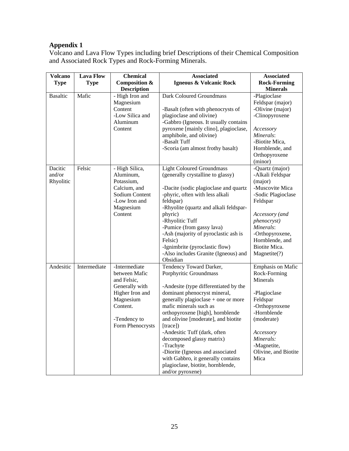# **Appendix 1**

Volcano and Lava Flow Types including brief Descriptions of their Chemical Composition and Associated Rock Types and Rock-Forming Minerals.

| <b>Volcano</b>                 | <b>Lava Flow</b> | <b>Chemical</b>                                                                                                                                 | <b>Associated</b>                                                                                                                                                                                                                                                                                                                                                                                                                                                                               | <b>Associated</b>                                                                                                                                                                                                        |
|--------------------------------|------------------|-------------------------------------------------------------------------------------------------------------------------------------------------|-------------------------------------------------------------------------------------------------------------------------------------------------------------------------------------------------------------------------------------------------------------------------------------------------------------------------------------------------------------------------------------------------------------------------------------------------------------------------------------------------|--------------------------------------------------------------------------------------------------------------------------------------------------------------------------------------------------------------------------|
| <b>Type</b>                    | <b>Type</b>      | Composition &                                                                                                                                   | Igneous & Volcanic Rock                                                                                                                                                                                                                                                                                                                                                                                                                                                                         | <b>Rock-Forming</b>                                                                                                                                                                                                      |
|                                |                  | <b>Description</b>                                                                                                                              |                                                                                                                                                                                                                                                                                                                                                                                                                                                                                                 | <b>Minerals</b>                                                                                                                                                                                                          |
| <b>Basaltic</b>                | Mafic            | - High Iron and<br>Magnesium<br>Content<br>-Low Silica and<br>Aluminum                                                                          | <b>Dark Coloured Groundmass</b><br>-Basalt (often with phenocrysts of<br>plagioclase and olivine)<br>-Gabbro (Igneous. It usually contains                                                                                                                                                                                                                                                                                                                                                      | -Plagioclase<br>Feldspar (major)<br>-Olivine (major)<br>-Clinopyroxene                                                                                                                                                   |
|                                |                  | Content                                                                                                                                         | pyroxene [mainly clino], plagioclase,<br>amphibole, and olivine)<br>-Basalt Tuff<br>-Scoria (am almost frothy basalt)                                                                                                                                                                                                                                                                                                                                                                           | Accessory<br>Minerals:<br>-Biotite Mica,<br>Hornblende, and<br>Orthopyroxene<br>(minor)                                                                                                                                  |
| Dacitic<br>and/or<br>Rhyolitic | Felsic           | - High Silica,<br>Aluminum,<br>Potassium,<br>Calcium, and<br>Sodium Content<br>-Low Iron and<br>Magnesium<br>Content                            | <b>Light Coloured Groundmass</b><br>(generally crystalline to glassy)<br>-Dacite (sodic plagioclase and quartz<br>-phyric, often with less alkali<br>feldspar)<br>-Rhyolite (quartz and alkali feldspar-<br>phyric)<br>-Rhyolitic Tuff<br>-Pumice (from gassy lava)<br>-Ash (majority of pyroclastic ash is<br>Felsic)<br>-Ignimbrite (pyroclastic flow)<br>-Also includes Granite (Igneous) and<br>Obsidian                                                                                    | -Quartz (major)<br>-Alkali Feldspar<br>(major)<br>-Muscovite Mica<br>-Sodic Plagioclase<br>Feldspar<br>Accessory (and<br>phenocryst)<br>Minerals:<br>-Orthopyroxene,<br>Hornblende, and<br>Biotite Mica.<br>Magnetite(?) |
| Andesitic                      | Intermediate     | -Intermediate<br>between Mafic<br>and Felsic,<br>Generally with<br>Higher Iron and<br>Magnesium<br>Content.<br>-Tendency to<br>Form Phenocrysts | Tendency Toward Darker,<br>Porphyritic Groundmass<br>-Andesite (type differentiated by the<br>dominant phenocryst mineral,<br>generally plagioclase + one or more<br>mafic minerals such as<br>orthopyroxene [high], hornblende<br>and olivine [moderate], and biotite<br>[trace])<br>-Andesitic Tuff (dark, often<br>decomposed glassy matrix)<br>-Trachyte<br>-Diorite (Igneous and associated<br>with Gabbro, it generally contains<br>plagioclase, biotite, hornblende,<br>and/or pyroxene) | <b>Emphasis on Mafic</b><br>Rock-Forming<br>Minerals<br>-Plagioclase<br>Feldspar<br>-Orthopyroxene<br>-Hornblende<br>(moderate)<br>Accessory<br>Minerals:<br>-Magnetite,<br>Olivine, and Biotite<br>Mica                 |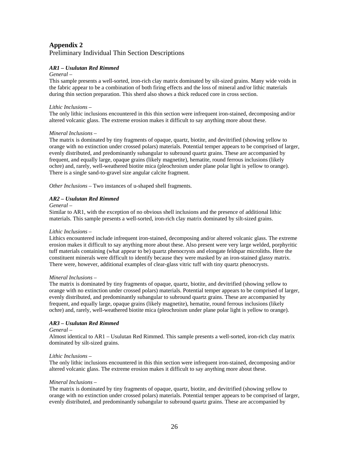# **Appendix 2**

# Preliminary Individual Thin Section Descriptions

## *AR1 – Usulutan Red Rimmed*

## *General –*

This sample presents a well-sorted, iron-rich clay matrix dominated by silt-sized grains. Many wide voids in the fabric appear to be a combination of both firing effects and the loss of mineral and/or lithic materials during thin section preparation. This sherd also shows a thick reduced core in cross section.

### *Lithic Inclusions –*

The only lithic inclusions encountered in this thin section were infrequent iron-stained, decomposing and/or altered volcanic glass. The extreme erosion makes it difficult to say anything more about these.

## *Mineral Inclusions –*

The matrix is dominated by tiny fragments of opaque, quartz, biotite, and devitrified (showing yellow to orange with no extinction under crossed polars) materials. Potential temper appears to be comprised of larger, evenly distributed, and predominantly subangular to subround quartz grains. These are accompanied by frequent, and equally large, opaque grains (likely magnetite), hematite, round ferrous inclusions (likely ochre) and, rarely, well-weathered biotite mica (pleochroism under plane polar light is yellow to orange). There is a single sand-to-gravel size angular calcite fragment.

*Other Inclusions* – Two instances of u-shaped shell fragments.

## *AR2 – Usulutan Red Rimmed*

#### *General –*

Similar to AR1, with the exception of no obvious shell inclusions and the presence of additional lithic materials. This sample presents a well-sorted, iron-rich clay matrix dominated by silt-sized grains.

## *Lithic Inclusions –*

Lithics encountered include infrequent iron-stained, decomposing and/or altered volcanic glass. The extreme erosion makes it difficult to say anything more about these. Also present were very large welded, porphyritic tuff materials containing (what appear to be) quartz phenocrysts and elongate feldspar microliths. Here the constituent minerals were difficult to identify because they were masked by an iron-stained glassy matrix. There were, however, additional examples of clear-glass vitric tuff with tiny quartz phenocrysts.

## *Mineral Inclusions –*

The matrix is dominated by tiny fragments of opaque, quartz, biotite, and devitrified (showing yellow to orange with no extinction under crossed polars) materials. Potential temper appears to be comprised of larger, evenly distributed, and predominantly subangular to subround quartz grains. These are accompanied by frequent, and equally large, opaque grains (likely magnetite), hematite, round ferrous inclusions (likely ochre) and, rarely, well-weathered biotite mica (pleochroism under plane polar light is yellow to orange).

## *AR3 – Usulutan Red Rimmed*

#### *General –*

Almost identical to AR1 – Usulutan Red Rimmed. This sample presents a well-sorted, iron-rich clay matrix dominated by silt-sized grains.

## *Lithic Inclusions –*

The only lithic inclusions encountered in this thin section were infrequent iron-stained, decomposing and/or altered volcanic glass. The extreme erosion makes it difficult to say anything more about these.

## *Mineral Inclusions –*

The matrix is dominated by tiny fragments of opaque, quartz, biotite, and devitrified (showing yellow to orange with no extinction under crossed polars) materials. Potential temper appears to be comprised of larger, evenly distributed, and predominantly subangular to subround quartz grains. These are accompanied by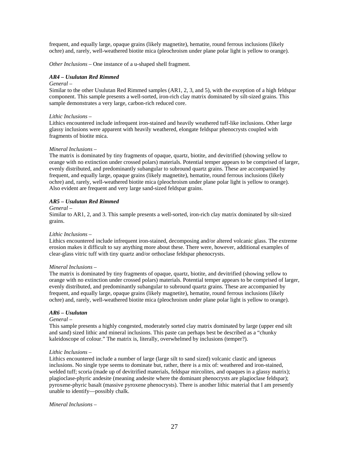frequent, and equally large, opaque grains (likely magnetite), hematite, round ferrous inclusions (likely ochre) and, rarely, well-weathered biotite mica (pleochroism under plane polar light is yellow to orange).

*Other Inclusions* – One instance of a u-shaped shell fragment.

## *AR4 – Usulutan Red Rimmed*

#### *General –*

Similar to the other Usulutan Red Rimmed samples (AR1, 2, 3, and 5), with the exception of a high feldspar component. This sample presents a well-sorted, iron-rich clay matrix dominated by silt-sized grains. This sample demonstrates a very large, carbon-rich reduced core.

## *Lithic Inclusions –*

Lithics encountered include infrequent iron-stained and heavily weathered tuff-like inclusions. Other large glassy inclusions were apparent with heavily weathered, elongate feldspar phenocrysts coupled with fragments of biotite mica.

## *Mineral Inclusions –*

The matrix is dominated by tiny fragments of opaque, quartz, biotite, and devitrified (showing yellow to orange with no extinction under crossed polars) materials. Potential temper appears to be comprised of larger, evenly distributed, and predominantly subangular to subround quartz grains. These are accompanied by frequent, and equally large, opaque grains (likely magnetite), hematite, round ferrous inclusions (likely ochre) and, rarely, well-weathered biotite mica (pleochroism under plane polar light is yellow to orange). Also evident are frequent and very large sand-sized feldspar grains.

## *AR5 – Usulutan Red Rimmed*

#### *General –*

Similar to AR1, 2, and 3. This sample presents a well-sorted, iron-rich clay matrix dominated by silt-sized grains.

#### *Lithic Inclusions –*

Lithics encountered include infrequent iron-stained, decomposing and/or altered volcanic glass. The extreme erosion makes it difficult to say anything more about these. There were, however, additional examples of clear-glass vitric tuff with tiny quartz and/or orthoclase feldspar phenocrysts.

#### *Mineral Inclusions –*

The matrix is dominated by tiny fragments of opaque, quartz, biotite, and devitrified (showing yellow to orange with no extinction under crossed polars) materials. Potential temper appears to be comprised of larger, evenly distributed, and predominantly subangular to subround quartz grains. These are accompanied by frequent, and equally large, opaque grains (likely magnetite), hematite, round ferrous inclusions (likely ochre) and, rarely, well-weathered biotite mica (pleochroism under plane polar light is yellow to orange).

## *AR6 – Usulutan*

#### *General –*

This sample presents a highly congested, moderately sorted clay matrix dominated by large (upper end silt and sand) sized lithic and mineral inclusions. This paste can perhaps best be described as a "chunky kaleidoscope of colour." The matrix is, literally, overwhelmed by inclusions (temper?).

#### *Lithic Inclusions –*

Lithics encountered include a number of large (large silt to sand sized) volcanic clastic and igneous inclusions. No single type seems to dominate but, rather, there is a mix of: weathered and iron-stained, welded tuff; scoria (made up of devitrified materials, feldspar mircolites, and opaques in a glassy matrix); plagioclase-phyric andesite (meaning andesite where the dominant phenocrysts are plagioclase feldspar); pyroxene-phyric basalt (massive pyroxene phenocrysts). There is another lithic material that I am presently unable to identify—possibly chalk.

*Mineral Inclusions –*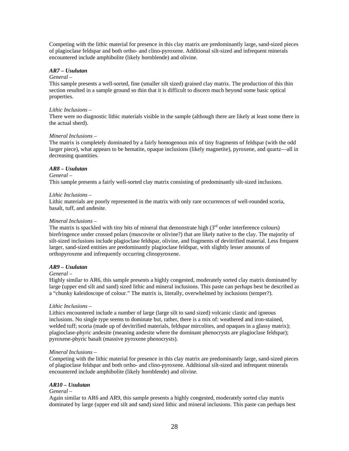Competing with the lithic material for presence in this clay matrix are predominantly large, sand-sized pieces of plagioclase feldspar and both ortho- and clino-pyroxene. Additional silt-sized and infrequent minerals encountered include amphibolite (likely hornblende) and olivine.

## *AR7 – Usulutan*

## *General –*

This sample presents a well-sorted, fine (smaller silt sized) grained clay matrix. The production of this thin section resulted in a sample ground so thin that it is difficult to discern much beyond some basic optical properties.

## *Lithic Inclusions –*

There were no diagnostic lithic materials visible in the sample (although there are likely at least some there in the actual sherd).

## *Mineral Inclusions –*

The matrix is completely dominated by a fairly homogenous mix of tiny fragments of feldspar (with the odd larger piece), what appears to be hematite, opaque inclusions (likely magnetite), pyroxene, and quartz—all in decreasing quantities.

## *AR8 – Usulutan*

## *General –*

This sample presents a fairly well-sorted clay matrix consisting of predominantly silt-sized inclusions.

## *Lithic Inclusions –*

Lithic materials are poorly represented in the matrix with only rare occurrences of well-rounded scoria, basalt, tuff, and andesite.

## *Mineral Inclusions –*

The matrix is spackled with tiny bits of mineral that demonstrate high  $(3<sup>rd</sup>$  order interference colours) birefringence under crossed polars (muscovite or olivine?) that are likely native to the clay. The majority of silt-sized inclusions include plagioclase feldspar, olivine, and fragments of devitrified material. Less frequent larger, sand-sized entities are predominantly plagioclase feldspar, with slightly lesser amounts of orthopyroxene and infrequently occurring clinopyroxene.

# *AR9 – Usulutan*

## *General –*

Highly similar to AR6, this sample presents a highly congested, moderately sorted clay matrix dominated by large (upper end silt and sand) sized lithic and mineral inclusions. This paste can perhaps best be described as a "chunky kaleidoscope of colour." The matrix is, literally, overwhelmed by inclusions (temper?).

## *Lithic Inclusions –*

Lithics encountered include a number of large (large silt to sand sized) volcanic clastic and igneous inclusions. No single type seems to dominate but, rather, there is a mix of: weathered and iron-stained, welded tuff; scoria (made up of devitrified materials, feldspar mircolites, and opaques in a glassy matrix); plagioclase-phyric andesite (meaning andesite where the dominant phenocrysts are plagioclase feldspar); pyroxene-phyric basalt (massive pyroxene phenocrysts).

## *Mineral Inclusions –*

Competing with the lithic material for presence in this clay matrix are predominantly large, sand-sized pieces of plagioclase feldspar and both ortho- and clino-pyroxene. Additional silt-sized and infrequent minerals encountered include amphibolite (likely hornblende) and olivine.

# *AR10 – Usulutan*

# *General –*

Again similar to AR6 and AR9, this sample presents a highly congested, moderately sorted clay matrix dominated by large (upper end silt and sand) sized lithic and mineral inclusions. This paste can perhaps best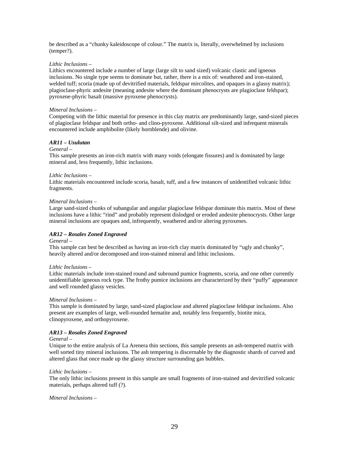be described as a "chunky kaleidoscope of colour." The matrix is, literally, overwhelmed by inclusions (temper?).

## *Lithic Inclusions –*

Lithics encountered include a number of large (large silt to sand sized) volcanic clastic and igneous inclusions. No single type seems to dominate but, rather, there is a mix of: weathered and iron-stained, welded tuff; scoria (made up of devitrified materials, feldspar mircolites, and opaques in a glassy matrix); plagioclase-phyric andesite (meaning andesite where the dominant phenocrysts are plagioclase feldspar); pyroxene-phyric basalt (massive pyroxene phenocrysts).

## *Mineral Inclusions –*

Competing with the lithic material for presence in this clay matrix are predominantly large, sand-sized pieces of plagioclase feldspar and both ortho- and clino-pyroxene. Additional silt-sized and infrequent minerals encountered include amphibolite (likely hornblende) and olivine.

## *AR11 – Usulutan*

## *General –*

This sample presents an iron-rich matrix with many voids (elongate fissures) and is dominated by large mineral and, less frequently, lithic inclusions.

## *Lithic Inclusions –*

Lithic materials encountered include scoria, basalt, tuff, and a few instances of unidentified volcanic lithic fragments.

#### *Mineral Inclusions –*

Large sand-sized chunks of subangular and angular plagioclase feldspar dominate this matrix. Most of these inclusions have a lithic "rind" and probably represent dislodged or eroded andesite phenocrysts. Other large mineral inclusions are opaques and, infrequently, weathered and/or altering pyroxenes.

## *AR12 – Rosales Zoned Engraved*

## *General –*

This sample can best be described as having an iron-rich clay matrix dominated by "ugly and chunky", heavily altered and/or decomposed and iron-stained mineral and lithic inclusions.

## *Lithic Inclusions –*

Lithic materials include iron-stained round and subround pumice fragments, scoria, and one other currently unidentifiable igneous rock type. The frothy pumice inclusions are characterized by their "puffy" appearance and well rounded glassy vesicles.

## *Mineral Inclusions –*

This sample is dominated by large, sand-sized plagioclase and altered plagioclase feldspar inclusions. Also present are examples of large, well-rounded hematite and, notably less frequently, biotite mica, clinopyroxene, and orthopyroxene.

## *AR13 – Rosales Zoned Engraved*

## *General –*

Unique to the entire analysis of La Arenera thin sections, this sample presents an ash-tempered matrix with well sorted tiny mineral inclusions. The ash tempering is discernable by the diagnostic shards of curved and altered glass that once made up the glassy structure surrounding gas bubbles.

## *Lithic Inclusions –*

The only lithic inclusions present in this sample are small fragments of iron-stained and devitrified volcanic materials, perhaps altered tuff (?).

*Mineral Inclusions –*